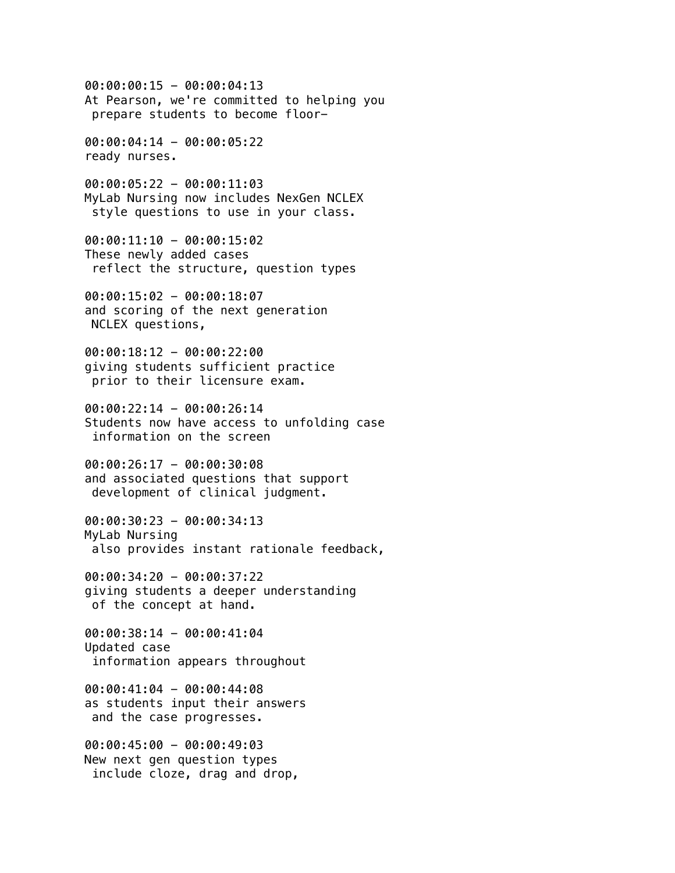00:00:00:15 - 00:00:04:13 At Pearson, we're committed to helping you prepare students to become floor-00:00:04:14 - 00:00:05:22 ready nurses.  $00:00:05:22 - 00:00:11:03$ MyLab Nursing now includes NexGen NCLEX style questions to use in your class. 00:00:11:10 - 00:00:15:02 These newly added cases reflect the structure, question types 00:00:15:02 - 00:00:18:07 and scoring of the next generation NCLEX questions, 00:00:18:12 - 00:00:22:00 giving students sufficient practice prior to their licensure exam.  $00:00:22:14 - 00:00:26:14$ Students now have access to unfolding case information on the screen 00:00:26:17 - 00:00:30:08 and associated questions that support development of clinical judgment. 00:00:30:23 - 00:00:34:13 MyLab Nursing also provides instant rationale feedback, 00:00:34:20 - 00:00:37:22 giving students a deeper understanding of the concept at hand. 00:00:38:14 - 00:00:41:04 Updated case information appears throughout 00:00:41:04 - 00:00:44:08 as students input their answers and the case progresses. 00:00:45:00 - 00:00:49:03 New next gen question types include cloze, drag and drop,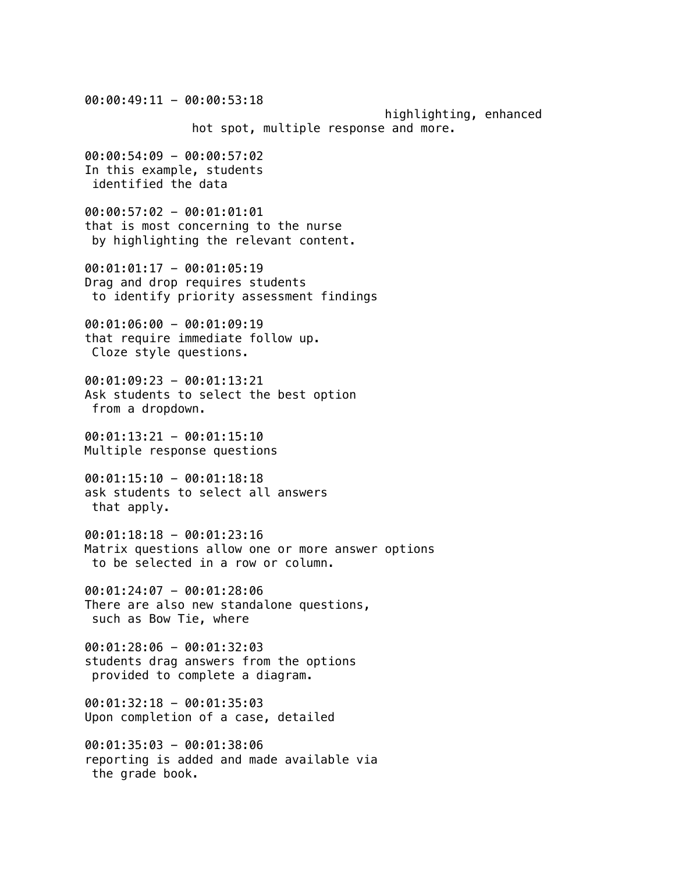$00:00:49:11 - 00:00:53:18$  highlighting, enhanced hot spot, multiple response and more. 00:00:54:09 - 00:00:57:02 In this example, students identified the data 00:00:57:02 - 00:01:01:01 that is most concerning to the nurse by highlighting the relevant content. 00:01:01:17 - 00:01:05:19 Drag and drop requires students to identify priority assessment findings 00:01:06:00 - 00:01:09:19 that require immediate follow up. Cloze style questions. 00:01:09:23 - 00:01:13:21 Ask students to select the best option from a dropdown. 00:01:13:21 - 00:01:15:10 Multiple response questions  $00:01:15:10 - 00:01:18:18$ ask students to select all answers that apply. 00:01:18:18 - 00:01:23:16 Matrix questions allow one or more answer options to be selected in a row or column. 00:01:24:07 - 00:01:28:06 There are also new standalone questions, such as Bow Tie, where 00:01:28:06 - 00:01:32:03 students drag answers from the options provided to complete a diagram. 00:01:32:18 - 00:01:35:03 Upon completion of a case, detailed 00:01:35:03 - 00:01:38:06 reporting is added and made available via the grade book.